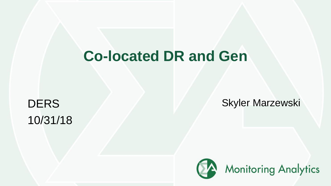# **Co-located DR and Gen**

10/31/18

DERS Skyler Marzewski

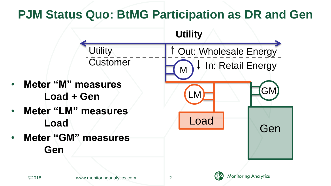# **PJM Status Quo: BtMG Participation as DR and Gen**

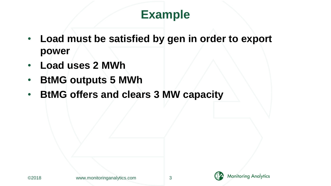#### **Example**

- **Load must be satisfied by gen in order to export power**
- **Load uses 2 MWh**
- **BtMG outputs 5 MWh**
- **BtMG offers and clears 3 MW capacity**

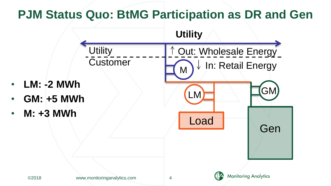# **PJM Status Quo: BtMG Participation as DR and Gen**

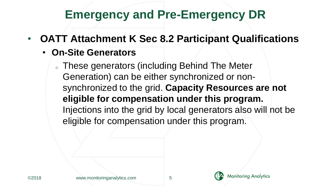#### **Emergency and Pre-Emergency DR**

- **OATT Attachment K Sec 8.2 Participant Qualifications**
	- **On-Site Generators**

o These generators (including Behind The Meter Generation) can be either synchronized or nonsynchronized to the grid. **Capacity Resources are not eligible for compensation under this program.**  Injections into the grid by local generators also will not be eligible for compensation under this program.

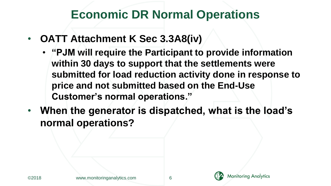#### **Economic DR Normal Operations**

- **OATT Attachment K Sec 3.3A8(iv)**
	- **"PJM will require the Participant to provide information within 30 days to support that the settlements were submitted for load reduction activity done in response to price and not submitted based on the End-Use Customer's normal operations."**
- **When the generator is dispatched, what is the load's normal operations?**

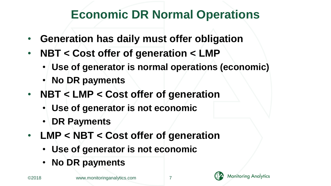### **Economic DR Normal Operations**

- **Generation has daily must offer obligation**
- **NBT < Cost offer of generation < LMP**
	- **Use of generator is normal operations (economic)**
	- **No DR payments**
- **NBT < LMP < Cost offer of generation**
	- **Use of generator is not economic**
	- **DR Payments**
- **LMP < NBT < Cost offer of generation**
	- **Use of generator is not economic**
	- **No DR payments**

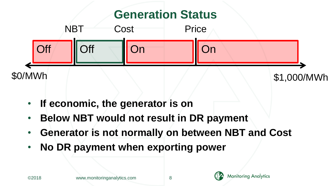

- **If economic, the generator is on**
- **Below NBT would not result in DR payment**
- **Generator is not normally on between NBT and Cost**
- **No DR payment when exporting power**